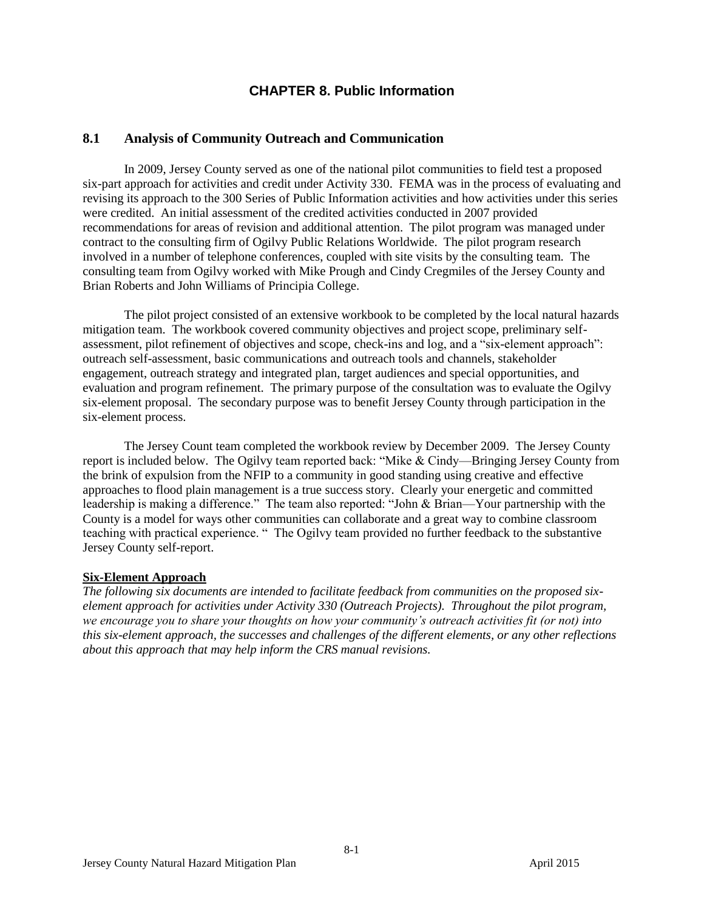# **CHAPTER 8. Public Information**

# **8.1 Analysis of Community Outreach and Communication**

In 2009, Jersey County served as one of the national pilot communities to field test a proposed six-part approach for activities and credit under Activity 330. FEMA was in the process of evaluating and revising its approach to the 300 Series of Public Information activities and how activities under this series were credited. An initial assessment of the credited activities conducted in 2007 provided recommendations for areas of revision and additional attention. The pilot program was managed under contract to the consulting firm of Ogilvy Public Relations Worldwide. The pilot program research involved in a number of telephone conferences, coupled with site visits by the consulting team. The consulting team from Ogilvy worked with Mike Prough and Cindy Cregmiles of the Jersey County and Brian Roberts and John Williams of Principia College.

The pilot project consisted of an extensive workbook to be completed by the local natural hazards mitigation team. The workbook covered community objectives and project scope, preliminary selfassessment, pilot refinement of objectives and scope, check-ins and log, and a "six-element approach": outreach self-assessment, basic communications and outreach tools and channels, stakeholder engagement, outreach strategy and integrated plan, target audiences and special opportunities, and evaluation and program refinement. The primary purpose of the consultation was to evaluate the Ogilvy six-element proposal. The secondary purpose was to benefit Jersey County through participation in the six-element process.

The Jersey Count team completed the workbook review by December 2009. The Jersey County report is included below. The Ogilvy team reported back: "Mike & Cindy—Bringing Jersey County from the brink of expulsion from the NFIP to a community in good standing using creative and effective approaches to flood plain management is a true success story. Clearly your energetic and committed leadership is making a difference." The team also reported: "John & Brian—Your partnership with the County is a model for ways other communities can collaborate and a great way to combine classroom teaching with practical experience. " The Ogilvy team provided no further feedback to the substantive Jersey County self-report.

### **Six-Element Approach**

*The following six documents are intended to facilitate feedback from communities on the proposed sixelement approach for activities under Activity 330 (Outreach Projects). Throughout the pilot program, we encourage you to share your thoughts on how your community's outreach activities fit (or not) into this six-element approach, the successes and challenges of the different elements, or any other reflections about this approach that may help inform the CRS manual revisions.*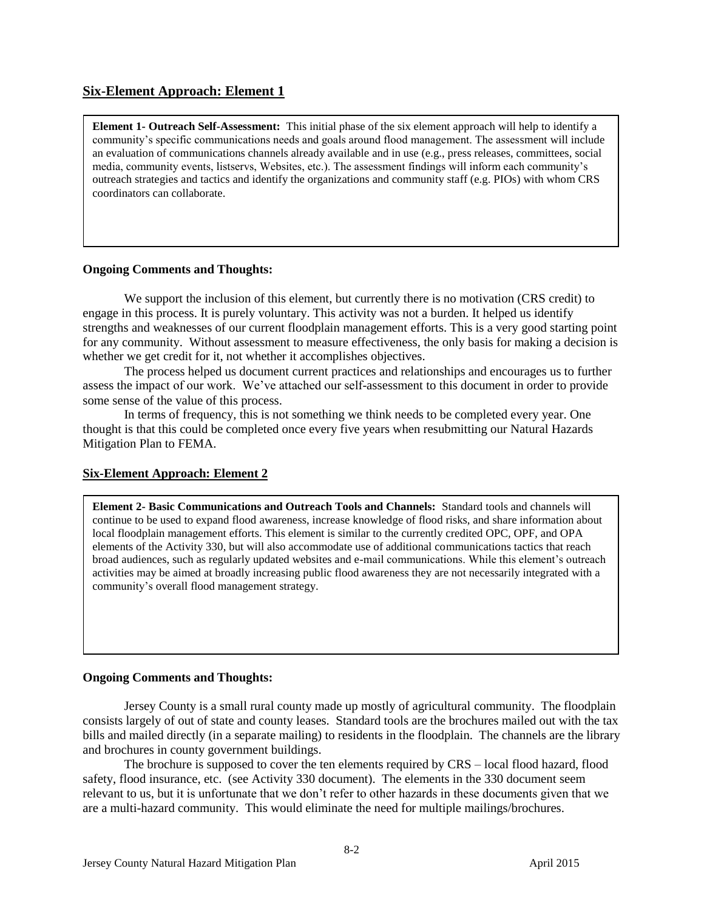# **Six-Element Approach: Element 1**

**Element 1- Outreach Self-Assessment:** This initial phase of the six element approach will help to identify a community's specific communications needs and goals around flood management. The assessment will include an evaluation of communications channels already available and in use (e.g., press releases, committees, social media, community events, listservs, Websites, etc.). The assessment findings will inform each community's outreach strategies and tactics and identify the organizations and community staff (e.g. PIOs) with whom CRS coordinators can collaborate.

### **Ongoing Comments and Thoughts:**

We support the inclusion of this element, but currently there is no motivation (CRS credit) to engage in this process. It is purely voluntary. This activity was not a burden. It helped us identify strengths and weaknesses of our current floodplain management efforts. This is a very good starting point for any community. Without assessment to measure effectiveness, the only basis for making a decision is whether we get credit for it, not whether it accomplishes objectives.

The process helped us document current practices and relationships and encourages us to further assess the impact of our work. We've attached our self-assessment to this document in order to provide some sense of the value of this process.

In terms of frequency, this is not something we think needs to be completed every year. One thought is that this could be completed once every five years when resubmitting our Natural Hazards Mitigation Plan to FEMA.

# **Six-Element Approach: Element 2**

**Element 2- Basic Communications and Outreach Tools and Channels:** Standard tools and channels will continue to be used to expand flood awareness, increase knowledge of flood risks, and share information about local floodplain management efforts. This element is similar to the currently credited OPC, OPF, and OPA elements of the Activity 330, but will also accommodate use of additional communications tactics that reach broad audiences, such as regularly updated websites and e-mail communications. While this element's outreach activities may be aimed at broadly increasing public flood awareness they are not necessarily integrated with a community's overall flood management strategy.

### **Ongoing Comments and Thoughts:**

Jersey County is a small rural county made up mostly of agricultural community. The floodplain consists largely of out of state and county leases. Standard tools are the brochures mailed out with the tax bills and mailed directly (in a separate mailing) to residents in the floodplain. The channels are the library and brochures in county government buildings.

The brochure is supposed to cover the ten elements required by CRS – local flood hazard, flood safety, flood insurance, etc. (see Activity 330 document). The elements in the 330 document seem relevant to us, but it is unfortunate that we don't refer to other hazards in these documents given that we are a multi-hazard community. This would eliminate the need for multiple mailings/brochures.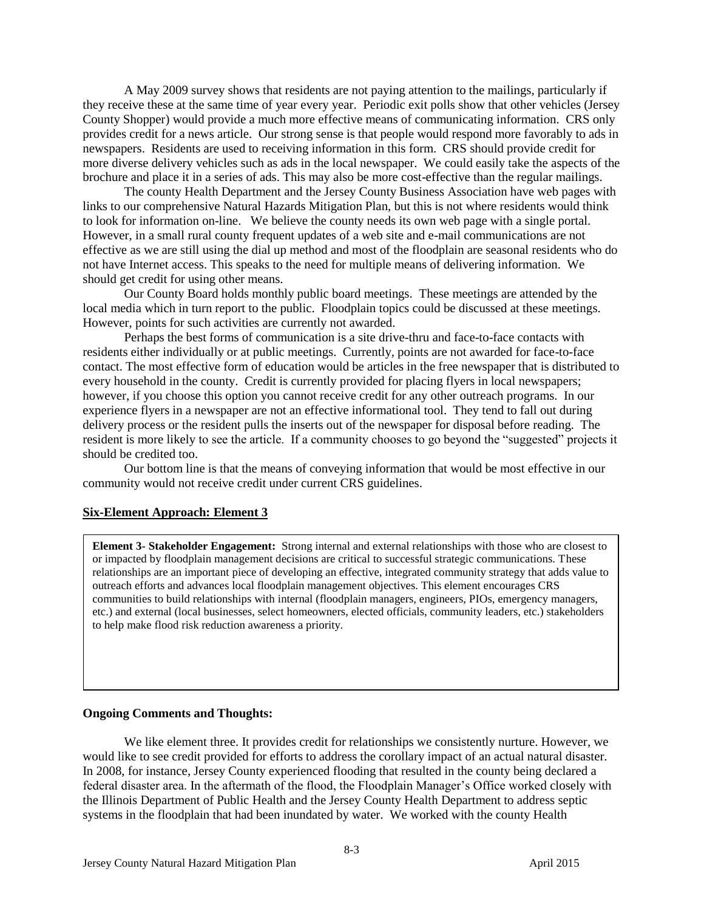A May 2009 survey shows that residents are not paying attention to the mailings, particularly if they receive these at the same time of year every year. Periodic exit polls show that other vehicles (Jersey County Shopper) would provide a much more effective means of communicating information. CRS only provides credit for a news article. Our strong sense is that people would respond more favorably to ads in newspapers. Residents are used to receiving information in this form. CRS should provide credit for more diverse delivery vehicles such as ads in the local newspaper. We could easily take the aspects of the brochure and place it in a series of ads. This may also be more cost-effective than the regular mailings.

The county Health Department and the Jersey County Business Association have web pages with links to our comprehensive Natural Hazards Mitigation Plan, but this is not where residents would think to look for information on-line. We believe the county needs its own web page with a single portal. However, in a small rural county frequent updates of a web site and e-mail communications are not effective as we are still using the dial up method and most of the floodplain are seasonal residents who do not have Internet access. This speaks to the need for multiple means of delivering information. We should get credit for using other means.

Our County Board holds monthly public board meetings. These meetings are attended by the local media which in turn report to the public. Floodplain topics could be discussed at these meetings. However, points for such activities are currently not awarded.

Perhaps the best forms of communication is a site drive-thru and face-to-face contacts with residents either individually or at public meetings. Currently, points are not awarded for face-to-face contact. The most effective form of education would be articles in the free newspaper that is distributed to every household in the county. Credit is currently provided for placing flyers in local newspapers; however, if you choose this option you cannot receive credit for any other outreach programs. In our experience flyers in a newspaper are not an effective informational tool. They tend to fall out during delivery process or the resident pulls the inserts out of the newspaper for disposal before reading. The resident is more likely to see the article. If a community chooses to go beyond the "suggested" projects it should be credited too.

Our bottom line is that the means of conveying information that would be most effective in our community would not receive credit under current CRS guidelines.

#### **Six-Element Approach: Element 3**

**Element 3- Stakeholder Engagement:** Strong internal and external relationships with those who are closest to or impacted by floodplain management decisions are critical to successful strategic communications. These relationships are an important piece of developing an effective, integrated community strategy that adds value to outreach efforts and advances local floodplain management objectives. This element encourages CRS communities to build relationships with internal (floodplain managers, engineers, PIOs, emergency managers, etc.) and external (local businesses, select homeowners, elected officials, community leaders, etc.) stakeholders to help make flood risk reduction awareness a priority.

#### **Ongoing Comments and Thoughts:**

We like element three. It provides credit for relationships we consistently nurture. However, we would like to see credit provided for efforts to address the corollary impact of an actual natural disaster. In 2008, for instance, Jersey County experienced flooding that resulted in the county being declared a federal disaster area. In the aftermath of the flood, the Floodplain Manager's Office worked closely with the Illinois Department of Public Health and the Jersey County Health Department to address septic systems in the floodplain that had been inundated by water. We worked with the county Health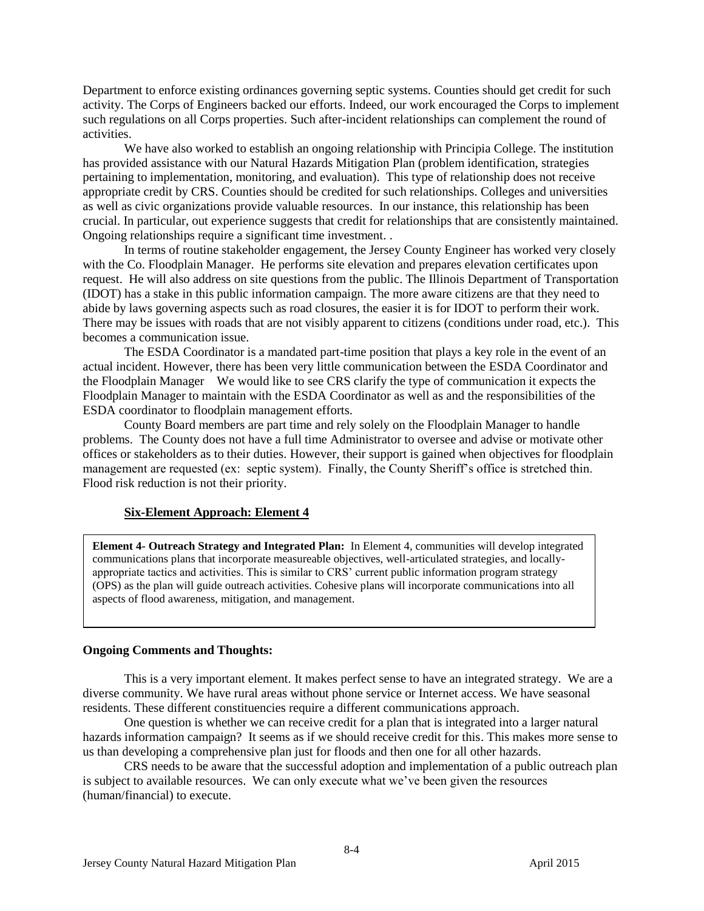Department to enforce existing ordinances governing septic systems. Counties should get credit for such activity. The Corps of Engineers backed our efforts. Indeed, our work encouraged the Corps to implement such regulations on all Corps properties. Such after-incident relationships can complement the round of activities.

We have also worked to establish an ongoing relationship with Principia College. The institution has provided assistance with our Natural Hazards Mitigation Plan (problem identification, strategies pertaining to implementation, monitoring, and evaluation). This type of relationship does not receive appropriate credit by CRS. Counties should be credited for such relationships. Colleges and universities as well as civic organizations provide valuable resources. In our instance, this relationship has been crucial. In particular, out experience suggests that credit for relationships that are consistently maintained. Ongoing relationships require a significant time investment. .

In terms of routine stakeholder engagement, the Jersey County Engineer has worked very closely with the Co. Floodplain Manager. He performs site elevation and prepares elevation certificates upon request. He will also address on site questions from the public. The Illinois Department of Transportation (IDOT) has a stake in this public information campaign. The more aware citizens are that they need to abide by laws governing aspects such as road closures, the easier it is for IDOT to perform their work. There may be issues with roads that are not visibly apparent to citizens (conditions under road, etc.). This becomes a communication issue.

The ESDA Coordinator is a mandated part-time position that plays a key role in the event of an actual incident. However, there has been very little communication between the ESDA Coordinator and the Floodplain Manager We would like to see CRS clarify the type of communication it expects the Floodplain Manager to maintain with the ESDA Coordinator as well as and the responsibilities of the ESDA coordinator to floodplain management efforts.

County Board members are part time and rely solely on the Floodplain Manager to handle problems. The County does not have a full time Administrator to oversee and advise or motivate other offices or stakeholders as to their duties. However, their support is gained when objectives for floodplain management are requested (ex: septic system). Finally, the County Sheriff's office is stretched thin. Flood risk reduction is not their priority.

### **Six-Element Approach: Element 4**

**Element 4- Outreach Strategy and Integrated Plan:** In Element 4, communities will develop integrated communications plans that incorporate measureable objectives, well-articulated strategies, and locallyappropriate tactics and activities. This is similar to CRS' current public information program strategy (OPS) as the plan will guide outreach activities. Cohesive plans will incorporate communications into all aspects of flood awareness, mitigation, and management.

#### **Ongoing Comments and Thoughts:**

This is a very important element. It makes perfect sense to have an integrated strategy. We are a diverse community. We have rural areas without phone service or Internet access. We have seasonal residents. These different constituencies require a different communications approach.

One question is whether we can receive credit for a plan that is integrated into a larger natural hazards information campaign? It seems as if we should receive credit for this. This makes more sense to us than developing a comprehensive plan just for floods and then one for all other hazards.

CRS needs to be aware that the successful adoption and implementation of a public outreach plan is subject to available resources. We can only execute what we've been given the resources (human/financial) to execute.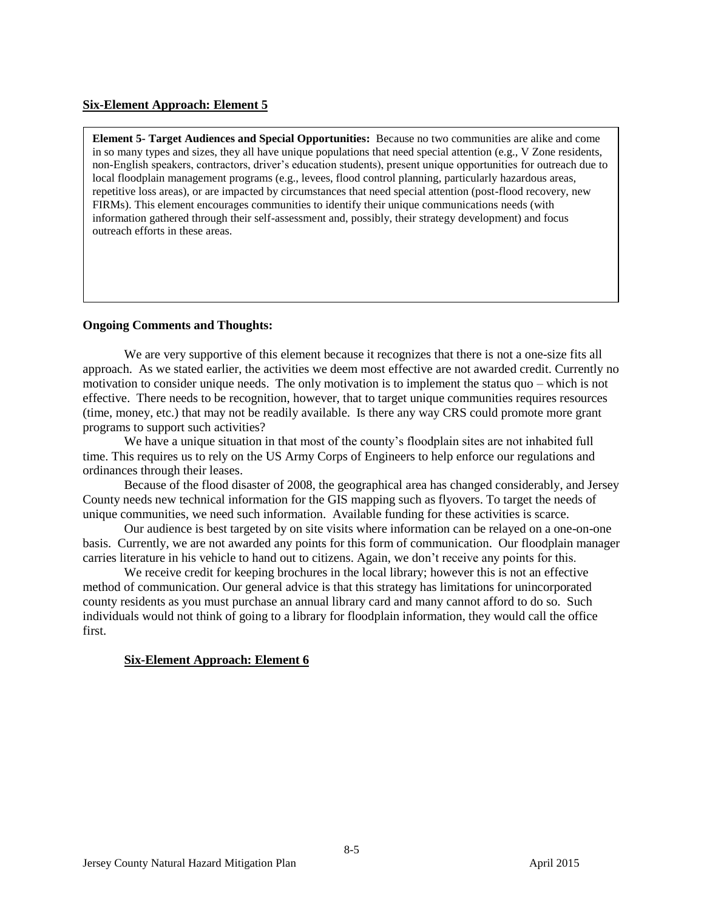### **Six-Element Approach: Element 5**

**Element 5- Target Audiences and Special Opportunities:** Because no two communities are alike and come in so many types and sizes, they all have unique populations that need special attention (e.g., V Zone residents, non-English speakers, contractors, driver's education students), present unique opportunities for outreach due to local floodplain management programs (e.g., levees, flood control planning, particularly hazardous areas, repetitive loss areas), or are impacted by circumstances that need special attention (post-flood recovery, new FIRMs). This element encourages communities to identify their unique communications needs (with information gathered through their self-assessment and, possibly, their strategy development) and focus outreach efforts in these areas.

### **Ongoing Comments and Thoughts:**

We are very supportive of this element because it recognizes that there is not a one-size fits all approach. As we stated earlier, the activities we deem most effective are not awarded credit. Currently no motivation to consider unique needs. The only motivation is to implement the status quo – which is not effective. There needs to be recognition, however, that to target unique communities requires resources (time, money, etc.) that may not be readily available. Is there any way CRS could promote more grant programs to support such activities?

We have a unique situation in that most of the county's floodplain sites are not inhabited full time. This requires us to rely on the US Army Corps of Engineers to help enforce our regulations and ordinances through their leases.

Because of the flood disaster of 2008, the geographical area has changed considerably, and Jersey County needs new technical information for the GIS mapping such as flyovers. To target the needs of unique communities, we need such information. Available funding for these activities is scarce.

Our audience is best targeted by on site visits where information can be relayed on a one-on-one basis. Currently, we are not awarded any points for this form of communication. Our floodplain manager carries literature in his vehicle to hand out to citizens. Again, we don't receive any points for this.

We receive credit for keeping brochures in the local library; however this is not an effective method of communication. Our general advice is that this strategy has limitations for unincorporated county residents as you must purchase an annual library card and many cannot afford to do so. Such individuals would not think of going to a library for floodplain information, they would call the office first.

### **Six-Element Approach: Element 6**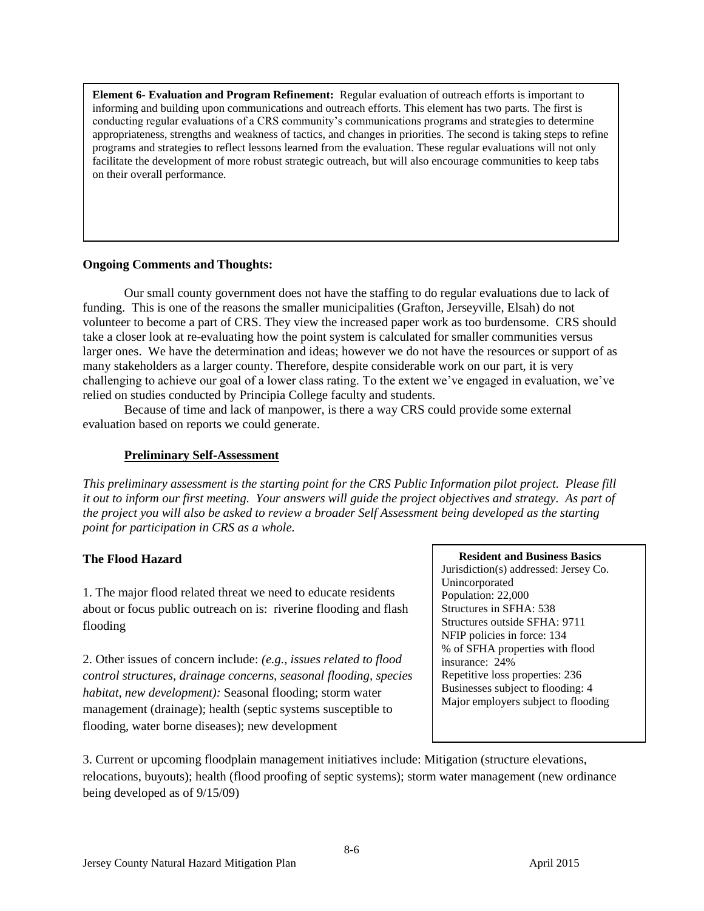**Element 6- Evaluation and Program Refinement:** Regular evaluation of outreach efforts is important to informing and building upon communications and outreach efforts. This element has two parts. The first is conducting regular evaluations of a CRS community's communications programs and strategies to determine appropriateness, strengths and weakness of tactics, and changes in priorities. The second is taking steps to refine programs and strategies to reflect lessons learned from the evaluation. These regular evaluations will not only facilitate the development of more robust strategic outreach, but will also encourage communities to keep tabs on their overall performance.

### **Ongoing Comments and Thoughts:**

Our small county government does not have the staffing to do regular evaluations due to lack of funding. This is one of the reasons the smaller municipalities (Grafton, Jerseyville, Elsah) do not volunteer to become a part of CRS. They view the increased paper work as too burdensome. CRS should take a closer look at re-evaluating how the point system is calculated for smaller communities versus larger ones. We have the determination and ideas; however we do not have the resources or support of as many stakeholders as a larger county. Therefore, despite considerable work on our part, it is very challenging to achieve our goal of a lower class rating. To the extent we've engaged in evaluation, we've relied on studies conducted by Principia College faculty and students.

Because of time and lack of manpower, is there a way CRS could provide some external evaluation based on reports we could generate.

### **Preliminary Self-Assessment**

*This preliminary assessment is the starting point for the CRS Public Information pilot project. Please fill it out to inform our first meeting. Your answers will guide the project objectives and strategy. As part of the project you will also be asked to review a broader Self Assessment being developed as the starting point for participation in CRS as a whole.*

# **The Flood Hazard**

1. The major flood related threat we need to educate residents about or focus public outreach on is: riverine flooding and flash flooding

2. Other issues of concern include: *(e.g., issues related to flood control structures, drainage concerns, seasonal flooding, species habitat, new development):* Seasonal flooding; storm water management (drainage); health (septic systems susceptible to flooding, water borne diseases); new development

 **Resident and Business Basics** Jurisdiction(s) addressed: Jersey Co. Unincorporated Population: 22,000 Structures in SFHA: 538 Structures outside SFHA: 9711 NFIP policies in force: 134 % of SFHA properties with flood insurance: 24% Repetitive loss properties: 236 Businesses subject to flooding: 4 Major employers subject to flooding

3. Current or upcoming floodplain management initiatives include: Mitigation (structure elevations, relocations, buyouts); health (flood proofing of septic systems); storm water management (new ordinance being developed as of 9/15/09)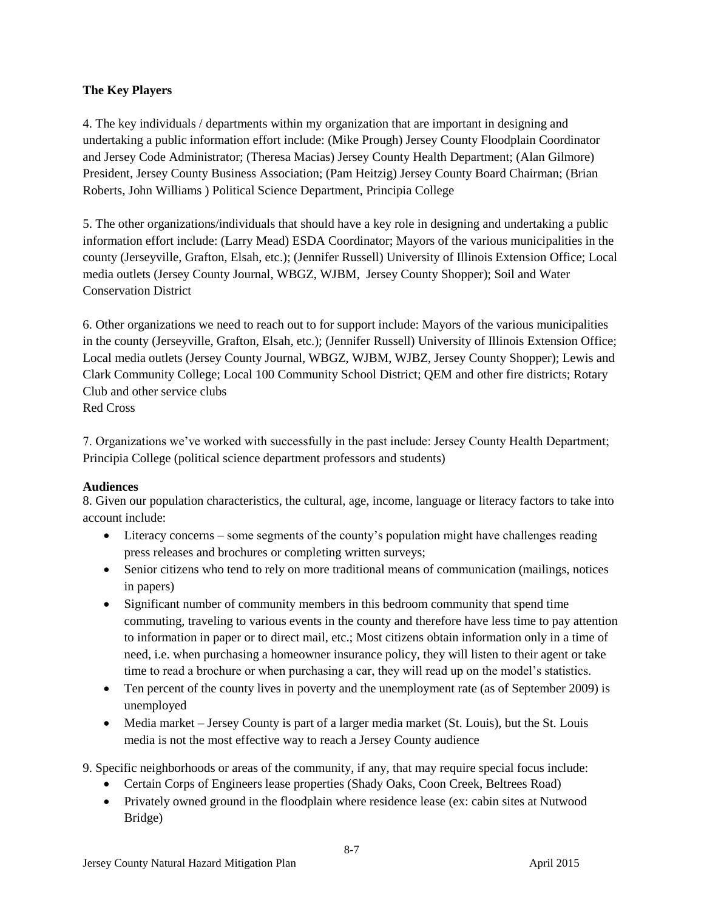# **The Key Players**

4. The key individuals / departments within my organization that are important in designing and undertaking a public information effort include: (Mike Prough) Jersey County Floodplain Coordinator and Jersey Code Administrator; (Theresa Macias) Jersey County Health Department; (Alan Gilmore) President, Jersey County Business Association; (Pam Heitzig) Jersey County Board Chairman; (Brian Roberts, John Williams ) Political Science Department, Principia College

5. The other organizations/individuals that should have a key role in designing and undertaking a public information effort include: (Larry Mead) ESDA Coordinator; Mayors of the various municipalities in the county (Jerseyville, Grafton, Elsah, etc.); (Jennifer Russell) University of Illinois Extension Office; Local media outlets (Jersey County Journal, WBGZ, WJBM, Jersey County Shopper); Soil and Water Conservation District

6. Other organizations we need to reach out to for support include: Mayors of the various municipalities in the county (Jerseyville, Grafton, Elsah, etc.); (Jennifer Russell) University of Illinois Extension Office; Local media outlets (Jersey County Journal, WBGZ, WJBM, WJBZ, Jersey County Shopper); Lewis and Clark Community College; Local 100 Community School District; QEM and other fire districts; Rotary Club and other service clubs

Red Cross

7. Organizations we've worked with successfully in the past include: Jersey County Health Department; Principia College (political science department professors and students)

# **Audiences**

8. Given our population characteristics, the cultural, age, income, language or literacy factors to take into account include:

- Literacy concerns some segments of the county's population might have challenges reading press releases and brochures or completing written surveys;
- Senior citizens who tend to rely on more traditional means of communication (mailings, notices in papers)
- Significant number of community members in this bedroom community that spend time commuting, traveling to various events in the county and therefore have less time to pay attention to information in paper or to direct mail, etc.; Most citizens obtain information only in a time of need, i.e. when purchasing a homeowner insurance policy, they will listen to their agent or take time to read a brochure or when purchasing a car, they will read up on the model's statistics.
- Ten percent of the county lives in poverty and the unemployment rate (as of September 2009) is unemployed
- Media market Jersey County is part of a larger media market (St. Louis), but the St. Louis media is not the most effective way to reach a Jersey County audience

9. Specific neighborhoods or areas of the community, if any, that may require special focus include:

- Certain Corps of Engineers lease properties (Shady Oaks, Coon Creek, Beltrees Road)
- Privately owned ground in the floodplain where residence lease (ex: cabin sites at Nutwood Bridge)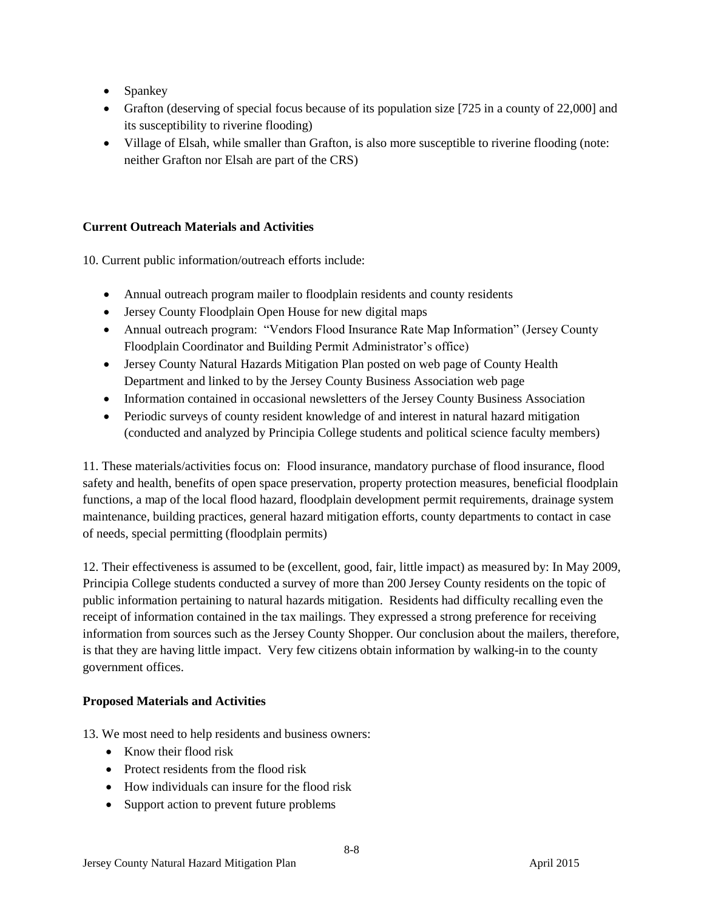- Spankey
- Grafton (deserving of special focus because of its population size [725 in a county of 22,000] and its susceptibility to riverine flooding)
- Village of Elsah, while smaller than Grafton, is also more susceptible to riverine flooding (note: neither Grafton nor Elsah are part of the CRS)

# **Current Outreach Materials and Activities**

10. Current public information/outreach efforts include:

- Annual outreach program mailer to floodplain residents and county residents
- Jersey County Floodplain Open House for new digital maps
- Annual outreach program: "Vendors Flood Insurance Rate Map Information" (Jersey County Floodplain Coordinator and Building Permit Administrator's office)
- Jersey County Natural Hazards Mitigation Plan posted on web page of County Health Department and linked to by the Jersey County Business Association web page
- Information contained in occasional newsletters of the Jersey County Business Association
- Periodic surveys of county resident knowledge of and interest in natural hazard mitigation (conducted and analyzed by Principia College students and political science faculty members)

11. These materials/activities focus on: Flood insurance, mandatory purchase of flood insurance, flood safety and health, benefits of open space preservation, property protection measures, beneficial floodplain functions, a map of the local flood hazard, floodplain development permit requirements, drainage system maintenance, building practices, general hazard mitigation efforts, county departments to contact in case of needs, special permitting (floodplain permits)

12. Their effectiveness is assumed to be (excellent, good, fair, little impact) as measured by: In May 2009, Principia College students conducted a survey of more than 200 Jersey County residents on the topic of public information pertaining to natural hazards mitigation. Residents had difficulty recalling even the receipt of information contained in the tax mailings. They expressed a strong preference for receiving information from sources such as the Jersey County Shopper. Our conclusion about the mailers, therefore, is that they are having little impact. Very few citizens obtain information by walking-in to the county government offices.

# **Proposed Materials and Activities**

13. We most need to help residents and business owners:

- Know their flood risk
- Protect residents from the flood risk
- How individuals can insure for the flood risk
- Support action to prevent future problems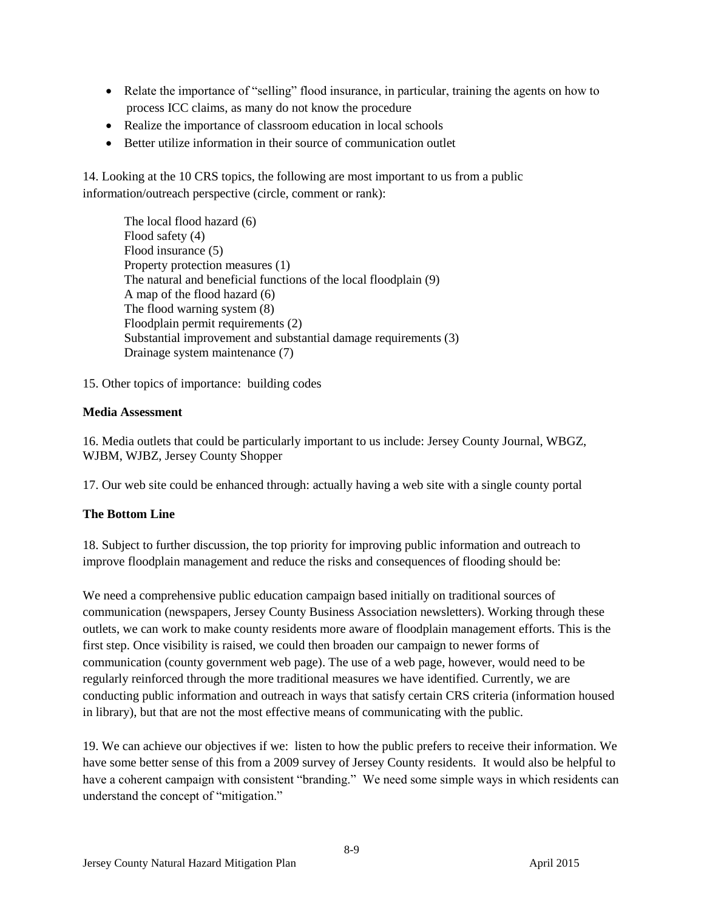- Relate the importance of "selling" flood insurance, in particular, training the agents on how to process ICC claims, as many do not know the procedure
- Realize the importance of classroom education in local schools
- Better utilize information in their source of communication outlet

14. Looking at the 10 CRS topics, the following are most important to us from a public information/outreach perspective (circle, comment or rank):

The local flood hazard (6) Flood safety (4) Flood insurance (5) Property protection measures (1) The natural and beneficial functions of the local floodplain (9) A map of the flood hazard (6) The flood warning system (8) Floodplain permit requirements (2) Substantial improvement and substantial damage requirements (3) Drainage system maintenance (7)

15. Other topics of importance: building codes

### **Media Assessment**

16. Media outlets that could be particularly important to us include: Jersey County Journal, WBGZ, WJBM, WJBZ, Jersey County Shopper

17. Our web site could be enhanced through: actually having a web site with a single county portal

# **The Bottom Line**

18. Subject to further discussion, the top priority for improving public information and outreach to improve floodplain management and reduce the risks and consequences of flooding should be:

We need a comprehensive public education campaign based initially on traditional sources of communication (newspapers, Jersey County Business Association newsletters). Working through these outlets, we can work to make county residents more aware of floodplain management efforts. This is the first step. Once visibility is raised, we could then broaden our campaign to newer forms of communication (county government web page). The use of a web page, however, would need to be regularly reinforced through the more traditional measures we have identified. Currently, we are conducting public information and outreach in ways that satisfy certain CRS criteria (information housed in library), but that are not the most effective means of communicating with the public.

19. We can achieve our objectives if we: listen to how the public prefers to receive their information. We have some better sense of this from a 2009 survey of Jersey County residents. It would also be helpful to have a coherent campaign with consistent "branding." We need some simple ways in which residents can understand the concept of "mitigation."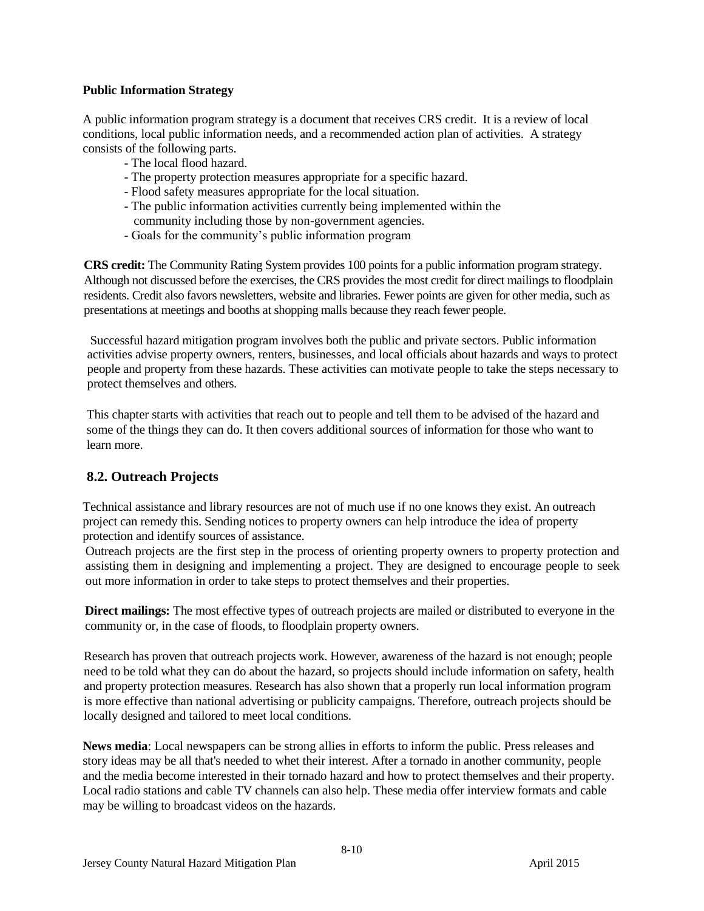### **Public Information Strategy**

A public information program strategy is a document that receives CRS credit. It is a review of local conditions, local public information needs, and a recommended action plan of activities. A strategy consists of the following parts.

- The local flood hazard.
- The property protection measures appropriate for a specific hazard.
- Flood safety measures appropriate for the local situation.
- The public information activities currently being implemented within the community including those by non-government agencies.
- Goals for the community's public information program

**CRS credit:** The Community Rating System provides 100 points for a public information program strategy. Although not discussed before the exercises, the CRS provides the most credit for direct mailings to floodplain residents. Credit also favors newsletters, website and libraries. Fewer points are given for other media, such as presentations at meetings and booths at shopping malls because they reach fewer people.

Successful hazard mitigation program involves both the public and private sectors. Public information activities advise property owners, renters, businesses, and local officials about hazards and ways to protect people and property from these hazards. These activities can motivate people to take the steps necessary to protect themselves and others.

This chapter starts with activities that reach out to people and tell them to be advised of the hazard and some of the things they can do. It then covers additional sources of information for those who want to learn more.

# **8.2. Outreach Projects**

Technical assistance and library resources are not of much use if no one knows they exist. An outreach project can remedy this. Sending notices to property owners can help introduce the idea of property protection and identify sources of assistance.

Outreach projects are the first step in the process of orienting property owners to property protection and assisting them in designing and implementing a project. They are designed to encourage people to seek out more information in order to take steps to protect themselves and their properties.

**Direct mailings:** The most effective types of outreach projects are mailed or distributed to everyone in the community or, in the case of floods, to floodplain property owners.

Research has proven that outreach projects work. However, awareness of the hazard is not enough; people need to be told what they can do about the hazard, so projects should include information on safety, health and property protection measures. Research has also shown that a properly run local information program is more effective than national advertising or publicity campaigns. Therefore, outreach projects should be locally designed and tailored to meet local conditions.

**News media**: Local newspapers can be strong allies in efforts to inform the public. Press releases and story ideas may be all that's needed to whet their interest. After a tornado in another community, people and the media become interested in their tornado hazard and how to protect themselves and their property. Local radio stations and cable TV channels can also help. These media offer interview formats and cable may be willing to broadcast videos on the hazards.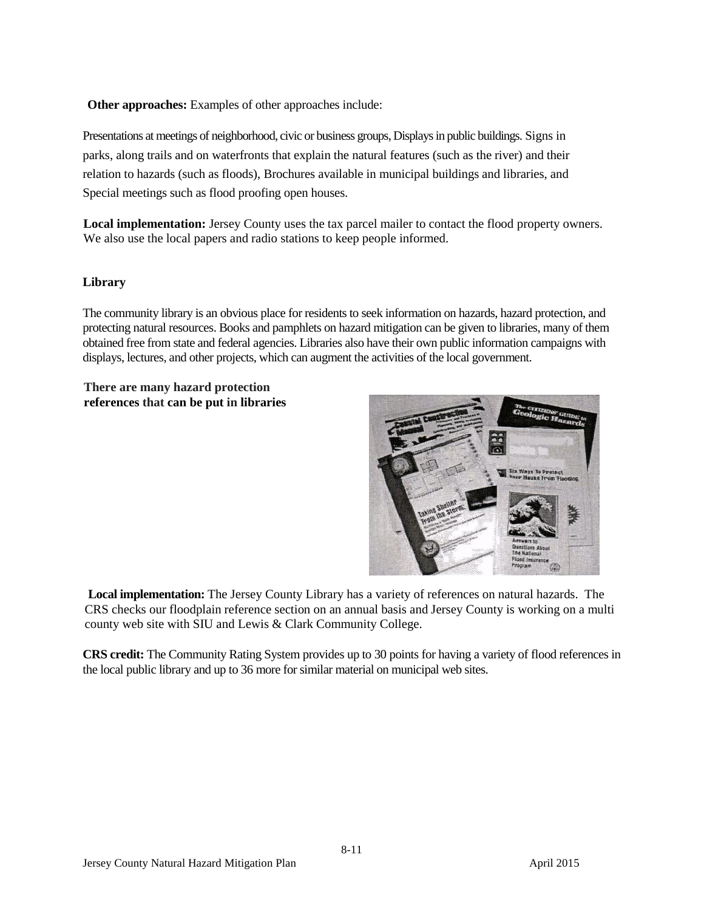**Other approaches:** Examples of other approaches include:

Presentations at meetings of neighborhood, civic or business groups, Displays in public buildings. Signs in parks, along trails and on waterfronts that explain the natural features (such as the river) and their relation to hazards (such as floods), Brochures available in municipal buildings and libraries, and Special meetings such as flood proofing open houses.

**Local implementation:** Jersey County uses the tax parcel mailer to contact the flood property owners. We also use the local papers and radio stations to keep people informed.

### **Library**

The community library is an obvious place for residents to seek information on hazards, hazard protection, and protecting natural resources. Books and pamphlets on hazard mitigation can be given to libraries, many of them obtained free from state and federal agencies. Libraries also have their own public information campaigns with displays, lectures, and other projects, which can augment the activities of the local government.

**There are many hazard protection references that can be put in libraries**



**Local implementation:** The Jersey County Library has a variety of references on natural hazards. The CRS checks our floodplain reference section on an annual basis and Jersey County is working on a multi county web site with SIU and Lewis & Clark Community College.

**CRS credit:** The Community Rating System provides up to 30 points for having a variety of flood references in the local public library and up to 36 more for similar material on municipal web sites.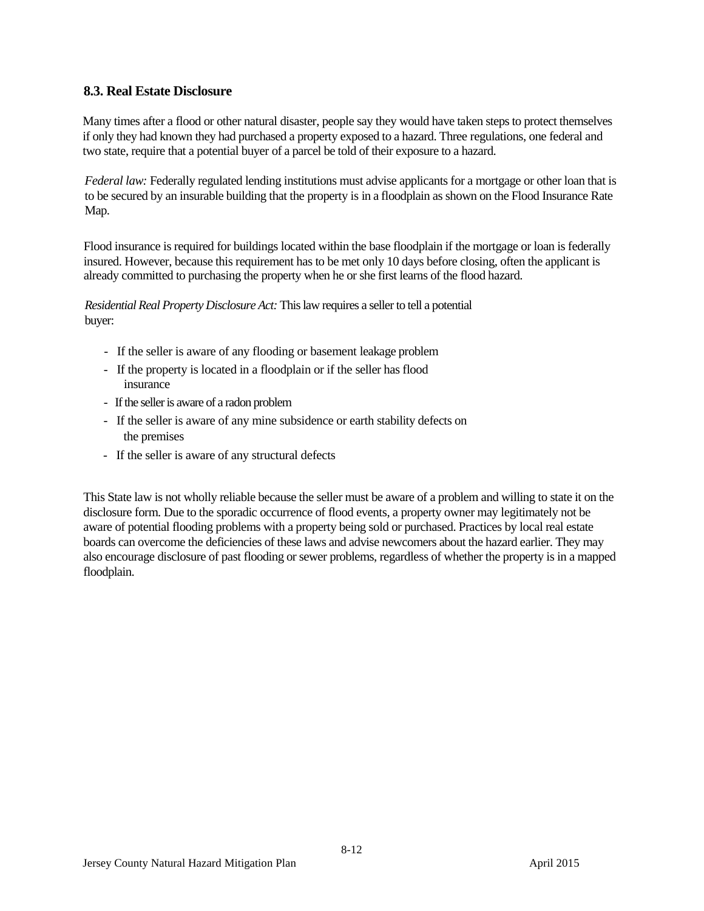# **8.3. Real Estate Disclosure**

Many times after a flood or other natural disaster, people say they would have taken steps to protect themselves if only they had known they had purchased a property exposed to a hazard. Three regulations, one federal and two state, require that a potential buyer of a parcel be told of their exposure to a hazard.

*Federal law:* Federally regulated lending institutions must advise applicants for a mortgage or other loan that is to be secured by an insurable building that the property is in a floodplain as shown on the Flood Insurance Rate Map.

Flood insurance is required for buildings located within the base floodplain if the mortgage or loan is federally insured. However, because this requirement has to be met only 10 days before closing, often the applicant is already committed to purchasing the property when he or she first learns of the flood hazard.

*Residential Real Property Disclosure Act:* This law requires a seller to tell a potential buyer:

- If the seller is aware of any flooding or basement leakage problem
- If the property is located in a floodplain or if the seller has flood insurance
- If the seller is aware of a radon problem
- If the seller is aware of any mine subsidence or earth stability defects on the premises
- If the seller is aware of any structural defects

This State law is not wholly reliable because the seller must be aware of a problem and willing to state it on the disclosure form. Due to the sporadic occurrence of flood events, a property owner may legitimately not be aware of potential flooding problems with a property being sold or purchased. Practices by local real estate boards can overcome the deficiencies of these laws and advise newcomers about the hazard earlier. They may also encourage disclosure of past flooding or sewer problems, regardless of whether the property is in a mapped floodplain.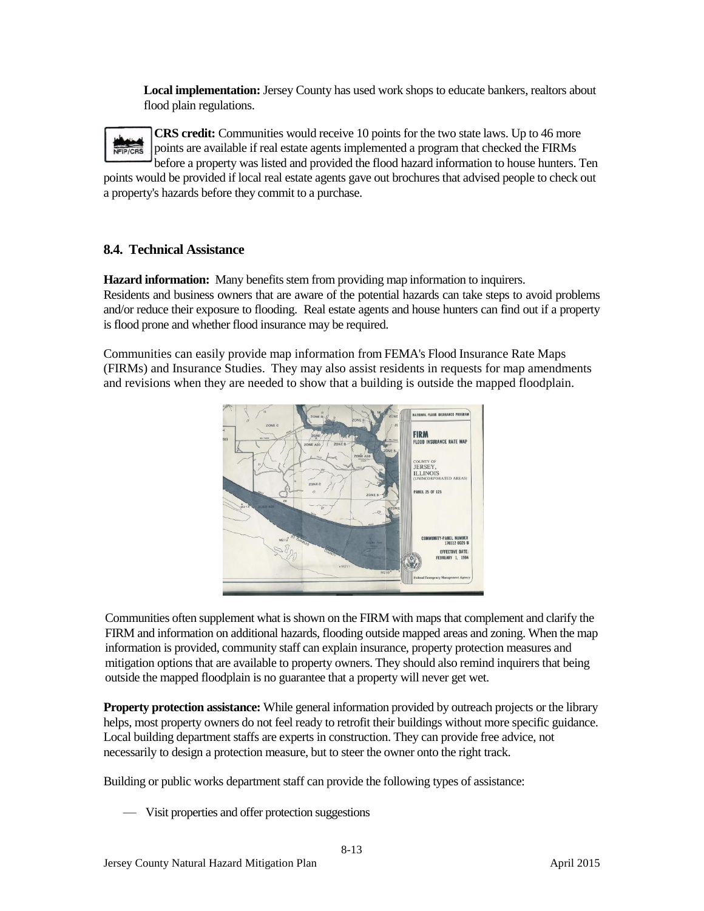**Local implementation:** Jersey County has used work shops to educate bankers, realtors about flood plain regulations.

**CRS credit:** Communities would receive 10 points for the two state laws. Up to 46 more points are available if real estate agents implemented a program that checked the FIRMs before a property was listed and provided the flood hazard information to house hunters. Ten points would be provided if local real estate agents gave out brochures that advised people to check out

a property's hazards before they commit to a purchase.

# **8.4. Technical Assistance**

**Hazard information:** Many benefits stem from providing map information to inquirers. Residents and business owners that are aware of the potential hazards can take steps to avoid problems and/or reduce their exposure to flooding. Real estate agents and house hunters can find out if a property is flood prone and whether flood insurance may be required.

Communities can easily provide map information from FEMA's Flood Insurance Rate Maps (FIRMs) and Insurance Studies. They may also assist residents in requests for map amendments and revisions when they are needed to show that a building is outside the mapped floodplain.



Communities often supplement what is shown on the FIRM with maps that complement and clarify the FIRM and information on additional hazards, flooding outside mapped areas and zoning. When the map information is provided, community staff can explain insurance, property protection measures and mitigation options that are available to property owners. They should also remind inquirers that being outside the mapped floodplain is no guarantee that a property will never get wet.

**Property protection assistance:** While general information provided by outreach projects or the library helps, most property owners do not feel ready to retrofit their buildings without more specific guidance. Local building department staffs are experts in construction. They can provide free advice, not necessarily to design a protection measure, but to steer the owner onto the right track.

Building or public works department staff can provide the following types of assistance:

— Visit properties and offer protection suggestions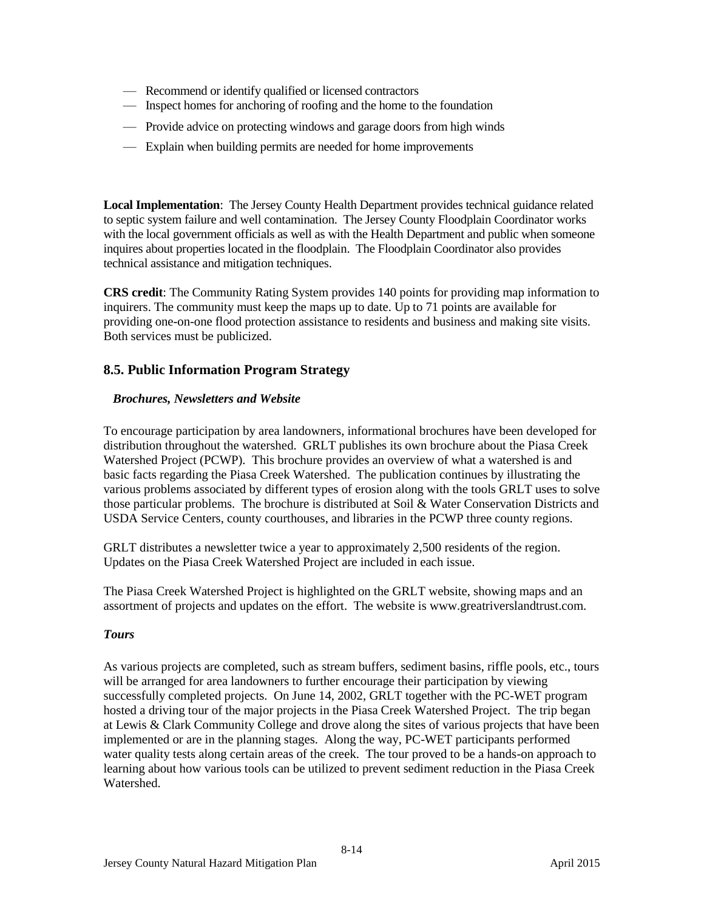- Recommend or identify qualified or licensed contractors
- Inspect homes for anchoring of roofing and the home to the foundation
- Provide advice on protecting windows and garage doors from high winds
- Explain when building permits are needed for home improvements

**Local Implementation**: The Jersey County Health Department provides technical guidance related to septic system failure and well contamination. The Jersey County Floodplain Coordinator works with the local government officials as well as with the Health Department and public when someone inquires about properties located in the floodplain. The Floodplain Coordinator also provides technical assistance and mitigation techniques.

**CRS credit**: The Community Rating System provides 140 points for providing map information to inquirers. The community must keep the maps up to date. Up to 71 points are available for providing one-on-one flood protection assistance to residents and business and making site visits. Both services must be publicized.

# **8.5. Public Information Program Strategy**

### *Brochures, Newsletters and Website*

To encourage participation by area landowners, informational brochures have been developed for distribution throughout the watershed. GRLT publishes its own brochure about the Piasa Creek Watershed Project (PCWP). This brochure provides an overview of what a watershed is and basic facts regarding the Piasa Creek Watershed. The publication continues by illustrating the various problems associated by different types of erosion along with the tools GRLT uses to solve those particular problems. The brochure is distributed at Soil & Water Conservation Districts and USDA Service Centers, county courthouses, and libraries in the PCWP three county regions.

GRLT distributes a newsletter twice a year to approximately 2,500 residents of the region. Updates on the Piasa Creek Watershed Project are included in each issue.

The Piasa Creek Watershed Project is highlighted on the GRLT website, showing maps and an assortment of projects and updates on the effort. The website is www.greatriverslandtrust.com.

### *Tours*

As various projects are completed, such as stream buffers, sediment basins, riffle pools, etc., tours will be arranged for area landowners to further encourage their participation by viewing successfully completed projects. On June 14, 2002, GRLT together with the PC-WET program hosted a driving tour of the major projects in the Piasa Creek Watershed Project. The trip began at Lewis & Clark Community College and drove along the sites of various projects that have been implemented or are in the planning stages. Along the way, PC-WET participants performed water quality tests along certain areas of the creek. The tour proved to be a hands-on approach to learning about how various tools can be utilized to prevent sediment reduction in the Piasa Creek Watershed.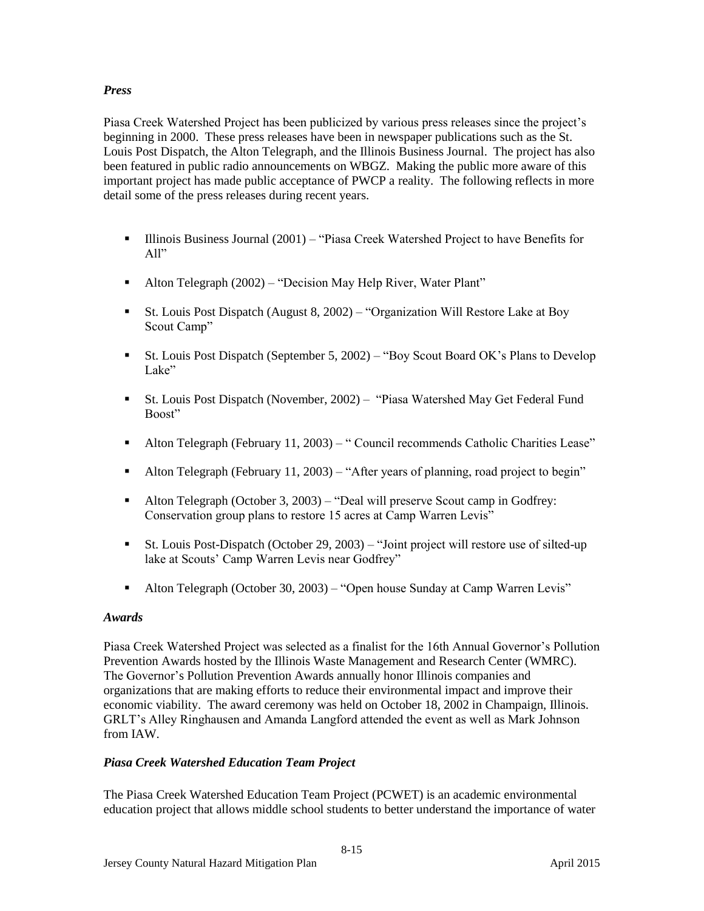# *Press*

Piasa Creek Watershed Project has been publicized by various press releases since the project's beginning in 2000. These press releases have been in newspaper publications such as the St. Louis Post Dispatch, the Alton Telegraph, and the Illinois Business Journal. The project has also been featured in public radio announcements on WBGZ. Making the public more aware of this important project has made public acceptance of PWCP a reality. The following reflects in more detail some of the press releases during recent years.

- **Illinois Business Journal (2001)** "Piasa Creek Watershed Project to have Benefits for All"
- Alton Telegraph (2002) "Decision May Help River, Water Plant"
- St. Louis Post Dispatch (August 8, 2002) "Organization Will Restore Lake at Boy Scout Camp"
- St. Louis Post Dispatch (September 5, 2002) "Boy Scout Board OK's Plans to Develop Lake"
- St. Louis Post Dispatch (November, 2002) "Piasa Watershed May Get Federal Fund Boost"
- Alton Telegraph (February 11, 2003) " Council recommends Catholic Charities Lease"
- Alton Telegraph (February 11, 2003) "After years of planning, road project to begin"
- Alton Telegraph (October 3, 2003) "Deal will preserve Scout camp in Godfrey: Conservation group plans to restore 15 acres at Camp Warren Levis"
- St. Louis Post-Dispatch (October 29, 2003) "Joint project will restore use of silted-up lake at Scouts' Camp Warren Levis near Godfrey"
- Alton Telegraph (October 30, 2003) "Open house Sunday at Camp Warren Levis"

### *Awards*

Piasa Creek Watershed Project was selected as a finalist for the 16th Annual Governor's Pollution Prevention Awards hosted by the Illinois Waste Management and Research Center (WMRC). The Governor's Pollution Prevention Awards annually honor Illinois companies and organizations that are making efforts to reduce their environmental impact and improve their economic viability. The award ceremony was held on October 18, 2002 in Champaign, Illinois. GRLT's Alley Ringhausen and Amanda Langford attended the event as well as Mark Johnson from IAW.

### *Piasa Creek Watershed Education Team Project*

The Piasa Creek Watershed Education Team Project (PCWET) is an academic environmental education project that allows middle school students to better understand the importance of water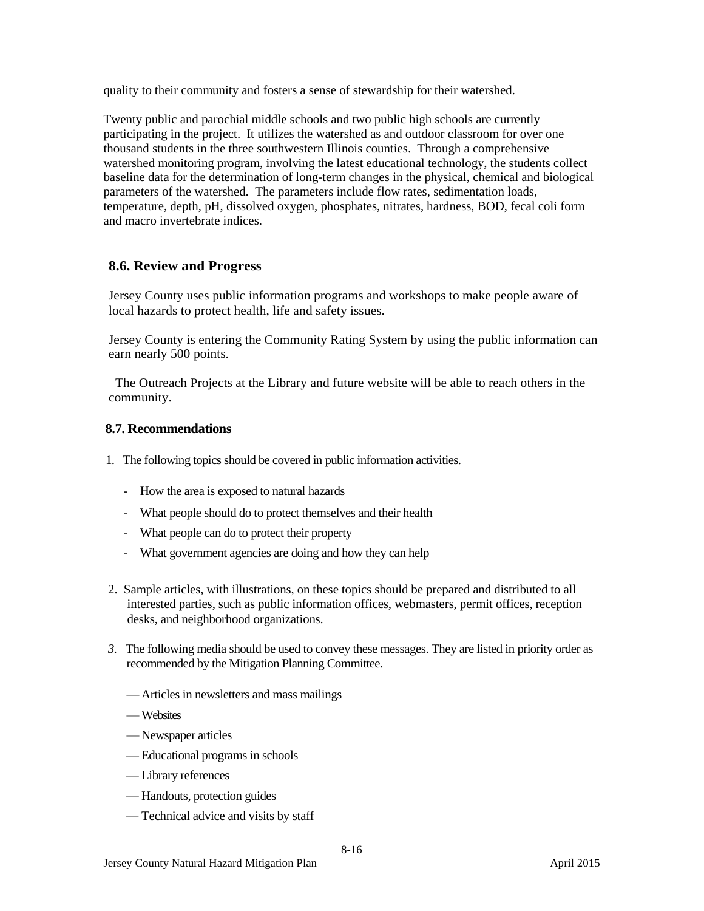quality to their community and fosters a sense of stewardship for their watershed.

Twenty public and parochial middle schools and two public high schools are currently participating in the project. It utilizes the watershed as and outdoor classroom for over one thousand students in the three southwestern Illinois counties. Through a comprehensive watershed monitoring program, involving the latest educational technology, the students collect baseline data for the determination of long-term changes in the physical, chemical and biological parameters of the watershed. The parameters include flow rates, sedimentation loads, temperature, depth, pH, dissolved oxygen, phosphates, nitrates, hardness, BOD, fecal coli form and macro invertebrate indices.

# **8.6. Review and Progress**

Jersey County uses public information programs and workshops to make people aware of local hazards to protect health, life and safety issues.

Jersey County is entering the Community Rating System by using the public information can earn nearly 500 points.

 The Outreach Projects at the Library and future website will be able to reach others in the community.

### **8.7. Recommendations**

- 1. The following topics should be covered in public information activities.
	- How the area is exposed to natural hazards
	- What people should do to protect themselves and their health
	- What people can do to protect their property
	- What government agencies are doing and how they can help
- 2. Sample articles, with illustrations, on these topics should be prepared and distributed to all interested parties, such as public information offices, webmasters, permit offices, reception desks, and neighborhood organizations.
- *3.* The following media should be used to convey these messages. They are listed in priority order as recommended by the Mitigation Planning Committee.
	- Articles in newsletters and mass mailings
	- Websites
	- Newspaper articles
	- Educational programs in schools
	- Library references
	- Handouts, protection guides
	- Technical advice and visits by staff